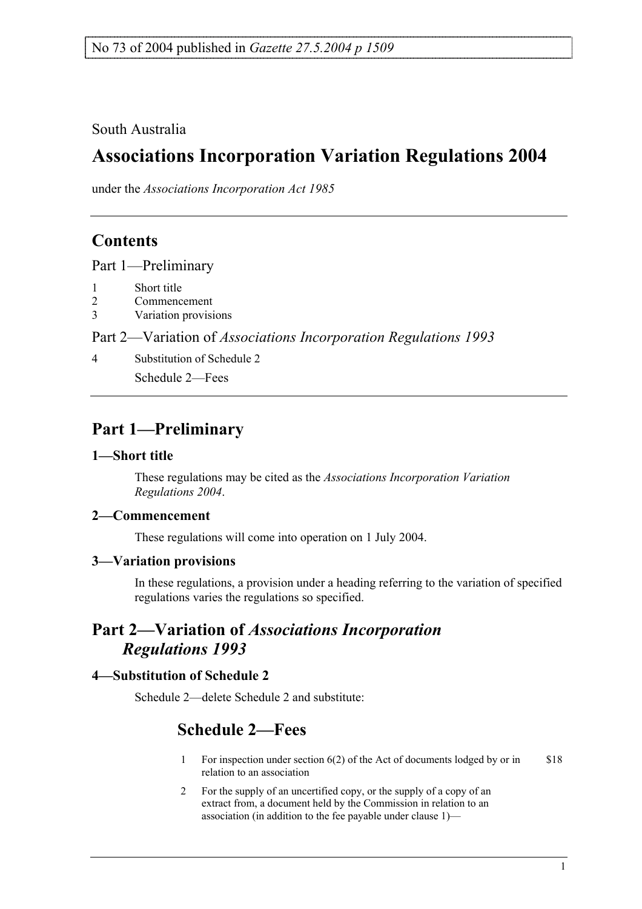South Australia

# **Associations Incorporation Variation Regulations 2004**

under the *Associations Incorporation Act 1985*

## **Contents**

Part 1—Preliminary

- 1 Short title
- 2 Commencement
- 3 Variation provisions

Part 2—Variation of *Associations Incorporation Regulations 1993*

4 Substitution of Schedule 2

Schedule 2—Fees

## **Part 1—Preliminary**

## **1—Short title**

These regulations may be cited as the *Associations Incorporation Variation Regulations 2004*.

## **2—Commencement**

These regulations will come into operation on 1 July 2004.

## **3—Variation provisions**

In these regulations, a provision under a heading referring to the variation of specified regulations varies the regulations so specified.

## **Part 2—Variation of** *Associations Incorporation Regulations 1993*

## **4—Substitution of Schedule 2**

Schedule 2—delete Schedule 2 and substitute:

## **Schedule 2—Fees**

- 1 For inspection under section 6(2) of the Act of documents lodged by or in relation to an association \$18
- 2 For the supply of an uncertified copy, or the supply of a copy of an extract from, a document held by the Commission in relation to an association (in addition to the fee payable under clause 1)—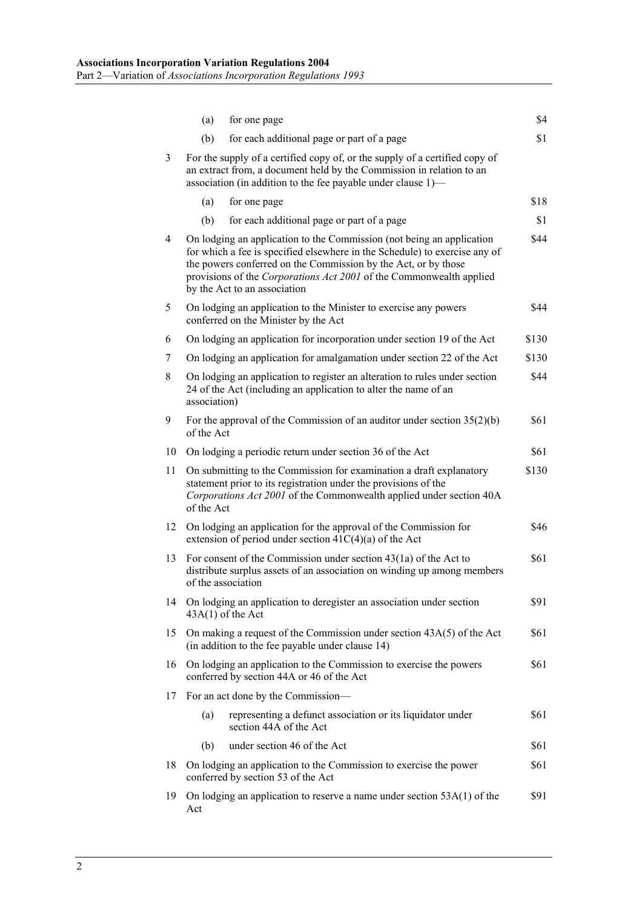|    | (a)                                                                                                                                                                                                                 | for one page                                                                                                                                                                                                                                                                                                                 | \$4   |
|----|---------------------------------------------------------------------------------------------------------------------------------------------------------------------------------------------------------------------|------------------------------------------------------------------------------------------------------------------------------------------------------------------------------------------------------------------------------------------------------------------------------------------------------------------------------|-------|
|    | (b)                                                                                                                                                                                                                 | for each additional page or part of a page                                                                                                                                                                                                                                                                                   | \$1   |
| 3  | For the supply of a certified copy of, or the supply of a certified copy of<br>an extract from, a document held by the Commission in relation to an<br>association (in addition to the fee payable under clause 1)— |                                                                                                                                                                                                                                                                                                                              |       |
|    | (a)                                                                                                                                                                                                                 | for one page                                                                                                                                                                                                                                                                                                                 | \$18  |
|    | (b)                                                                                                                                                                                                                 | for each additional page or part of a page                                                                                                                                                                                                                                                                                   | \$1   |
| 4  |                                                                                                                                                                                                                     | On lodging an application to the Commission (not being an application<br>for which a fee is specified elsewhere in the Schedule) to exercise any of<br>the powers conferred on the Commission by the Act, or by those<br>provisions of the Corporations Act 2001 of the Commonwealth applied<br>by the Act to an association | \$44  |
| 5  |                                                                                                                                                                                                                     | On lodging an application to the Minister to exercise any powers<br>conferred on the Minister by the Act                                                                                                                                                                                                                     | \$44  |
| 6  |                                                                                                                                                                                                                     | On lodging an application for incorporation under section 19 of the Act                                                                                                                                                                                                                                                      | \$130 |
| 7  |                                                                                                                                                                                                                     | On lodging an application for amalgamation under section 22 of the Act                                                                                                                                                                                                                                                       | \$130 |
| 8  | \$44<br>On lodging an application to register an alteration to rules under section<br>24 of the Act (including an application to alter the name of an<br>association)                                               |                                                                                                                                                                                                                                                                                                                              |       |
| 9  | of the Act                                                                                                                                                                                                          | For the approval of the Commission of an auditor under section $35(2)(b)$                                                                                                                                                                                                                                                    | \$61  |
| 10 |                                                                                                                                                                                                                     | On lodging a periodic return under section 36 of the Act                                                                                                                                                                                                                                                                     | \$61  |
| 11 | of the Act                                                                                                                                                                                                          | On submitting to the Commission for examination a draft explanatory<br>statement prior to its registration under the provisions of the<br>Corporations Act 2001 of the Commonwealth applied under section 40A                                                                                                                | \$130 |
| 12 |                                                                                                                                                                                                                     | On lodging an application for the approval of the Commission for<br>extension of period under section $41C(4)(a)$ of the Act                                                                                                                                                                                                 | \$46  |
| 13 | \$61<br>For consent of the Commission under section $43(1a)$ of the Act to<br>distribute surplus assets of an association on winding up among members<br>of the association                                         |                                                                                                                                                                                                                                                                                                                              |       |
| 14 |                                                                                                                                                                                                                     | On lodging an application to deregister an association under section<br>$43A(1)$ of the Act                                                                                                                                                                                                                                  | \$91  |
| 15 |                                                                                                                                                                                                                     | On making a request of the Commission under section $43A(5)$ of the Act<br>(in addition to the fee payable under clause 14)                                                                                                                                                                                                  | \$61  |
| 16 | On lodging an application to the Commission to exercise the powers<br>conferred by section 44A or 46 of the Act                                                                                                     |                                                                                                                                                                                                                                                                                                                              | \$61  |
| 17 | For an act done by the Commission-                                                                                                                                                                                  |                                                                                                                                                                                                                                                                                                                              |       |
|    | (a)                                                                                                                                                                                                                 | representing a defunct association or its liquidator under<br>section 44A of the Act                                                                                                                                                                                                                                         | \$61  |
|    | (b)                                                                                                                                                                                                                 | under section 46 of the Act                                                                                                                                                                                                                                                                                                  | \$61  |
| 18 | On lodging an application to the Commission to exercise the power<br>\$61<br>conferred by section 53 of the Act                                                                                                     |                                                                                                                                                                                                                                                                                                                              |       |
| 19 | Act                                                                                                                                                                                                                 | On lodging an application to reserve a name under section $53A(1)$ of the                                                                                                                                                                                                                                                    | \$91  |